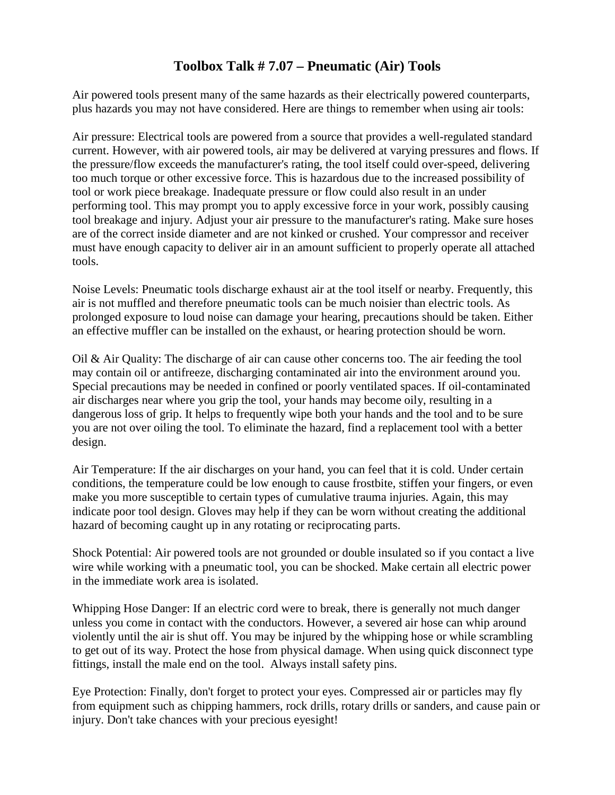## **Toolbox Talk # 7.07 – Pneumatic (Air) Tools**

Air powered tools present many of the same hazards as their electrically powered counterparts, plus hazards you may not have considered. Here are things to remember when using air tools:

Air pressure: Electrical tools are powered from a source that provides a well-regulated standard current. However, with air powered tools, air may be delivered at varying pressures and flows. If the pressure/flow exceeds the manufacturer's rating, the tool itself could over-speed, delivering too much torque or other excessive force. This is hazardous due to the increased possibility of tool or work piece breakage. Inadequate pressure or flow could also result in an under performing tool. This may prompt you to apply excessive force in your work, possibly causing tool breakage and injury. Adjust your air pressure to the manufacturer's rating. Make sure hoses are of the correct inside diameter and are not kinked or crushed. Your compressor and receiver must have enough capacity to deliver air in an amount sufficient to properly operate all attached tools.

Noise Levels: Pneumatic tools discharge exhaust air at the tool itself or nearby. Frequently, this air is not muffled and therefore pneumatic tools can be much noisier than electric tools. As prolonged exposure to loud noise can damage your hearing, precautions should be taken. Either an effective muffler can be installed on the exhaust, or hearing protection should be worn.

Oil & Air Quality: The discharge of air can cause other concerns too. The air feeding the tool may contain oil or antifreeze, discharging contaminated air into the environment around you. Special precautions may be needed in confined or poorly ventilated spaces. If oil-contaminated air discharges near where you grip the tool, your hands may become oily, resulting in a dangerous loss of grip. It helps to frequently wipe both your hands and the tool and to be sure you are not over oiling the tool. To eliminate the hazard, find a replacement tool with a better design.

Air Temperature: If the air discharges on your hand, you can feel that it is cold. Under certain conditions, the temperature could be low enough to cause frostbite, stiffen your fingers, or even make you more susceptible to certain types of cumulative trauma injuries. Again, this may indicate poor tool design. Gloves may help if they can be worn without creating the additional hazard of becoming caught up in any rotating or reciprocating parts.

Shock Potential: Air powered tools are not grounded or double insulated so if you contact a live wire while working with a pneumatic tool, you can be shocked. Make certain all electric power in the immediate work area is isolated.

Whipping Hose Danger: If an electric cord were to break, there is generally not much danger unless you come in contact with the conductors. However, a severed air hose can whip around violently until the air is shut off. You may be injured by the whipping hose or while scrambling to get out of its way. Protect the hose from physical damage. When using quick disconnect type fittings, install the male end on the tool. Always install safety pins.

Eye Protection: Finally, don't forget to protect your eyes. Compressed air or particles may fly from equipment such as chipping hammers, rock drills, rotary drills or sanders, and cause pain or injury. Don't take chances with your precious eyesight!